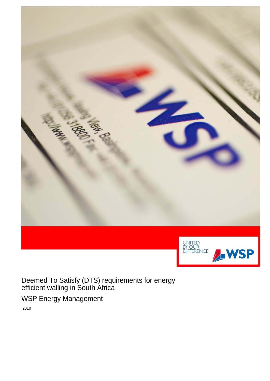

Deemed To Satisfy (DTS) requirements for energy efficient walling in South Africa

WSP Energy Management

2010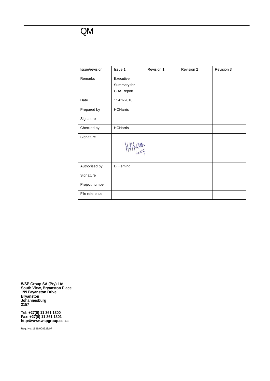### QM

| Issue/revision | Issue 1                                       | Revision 1 | Revision 2 | Revision 3 |
|----------------|-----------------------------------------------|------------|------------|------------|
| Remarks        | Executive<br>Summary for<br><b>CBA Report</b> |            |            |            |
| Date           | 11-01-2010                                    |            |            |            |
| Prepared by    | <b>HCHarris</b>                               |            |            |            |
| Signature      |                                               |            |            |            |
| Checked by     | <b>HCHarris</b>                               |            |            |            |
| Signature      |                                               |            |            |            |
| Authorised by  | D.Fleming                                     |            |            |            |
| Signature      |                                               |            |            |            |
| Project number |                                               |            |            |            |
| File reference |                                               |            |            |            |

**WSP Group SA (Pty) Ltd South View, Bryanston Place 199 Bryanston Drive Bryanston Johannesburg 2157** 

**Tel: +27(0) 11 361 1300 Fax: +27(0) 11 361 1301 http://www.wspgroup.co.za** 

Reg. No: 1999/008928/07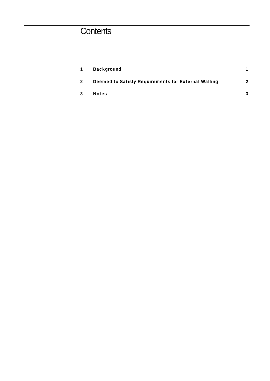# **Contents**

| $\mathbf 1$    | <b>Background</b>                                   |   |
|----------------|-----------------------------------------------------|---|
| $\overline{2}$ | Deemed to Satisfy Requirements for External Walling | 2 |
| -3             | <b>Notes</b>                                        | 3 |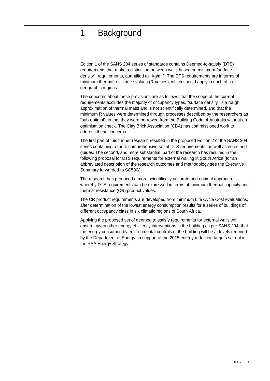## 1 Background

Edition 1 of the SANS 204 series of standards contains Deemed-to-satisfy (DTS) requirements that make a distinction between walls based on minimum "surface density", requirements, quantified as "kg/m<sup>2</sup>". The DTS requirements are in terms of minimum thermal resistance values (R-values), which should apply in each of six geographic regions.

The concerns about these provisions are as follows: that the scope of the current requirements excludes the majority of occupancy types, "surface density" is a rough approximation of thermal mass and is not scientifically determined, and that the minimum R values were determined through processes described by the researchers as "sub-optimal", in that they were borrowed from the Building Code of Australia without an optimisation check. The Clay Brick Association (CBA) has commissioned work to address these concerns.

The first part of this further research resulted in the proposed Edition 2 of the SANS 204 series containing a more comprehensive set of DTS requirements, as well as notes and guides. The second, and more substantial, part of the research has resulted in the following proposal for DTS requirements for external walling in South Africa (for an abbreviated description of the research outcomes and methodology see the Executive Summary forwarded to SC59G).

The research has produced a more scientifically accurate and optimal approach whereby DTS requirements can be expressed in terms of minimum thermal capacity and thermal resistance (CR) product values.

The CR product requirements are developed from minimum Life Cycle Cost evaluations, after determination of the lowest energy consumption results for a series of buildings of different occupancy class in six climatic regions of South Africa.

Applying the proposed set of deemed to satisfy requirements for external walls will ensure, given other energy efficiency interventions in the building as per SANS 204, that the energy consumed by environmental controls of the building will be at levels required by the Department of Energy, in support of the 2015 energy reduction targets set out in the RSA Energy Strategy.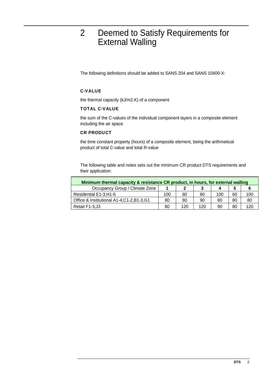### 2 Deemed to Satisfy Requirements for External Walling

The following definitions should be added to SANS 204 and SANS 10400-X:

#### C-VALUE

the thermal capacity (kJ/m2.K) of a component

#### TOTAL C-VALUE

the sum of the C-values of the individual component layers in a composite element including the air space

#### CR PRODUCT

the time constant property (hours) of a composite element, being the arithmetical product of total C-value and total R-value

The following table and notes sets out the minimum CR product DTS requirements and their application:

| Minimum thermal capacity & resistance CR product, in hours, for external walling |     |     |     |     |    |     |
|----------------------------------------------------------------------------------|-----|-----|-----|-----|----|-----|
| Occupancy Group / Climate Zone                                                   |     |     |     |     |    |     |
| Residential E1-3, H1-5                                                           | 100 | 80  | 80  | 100 | 60 | 100 |
| Office & Institutional A1-4, C1-2, B1-3, G1                                      | 80  | 80  | 90  | 80  | 80 | 80  |
| Retail F1-3, J3                                                                  | 80  | 120 | 120 | 90  | 80 | 120 |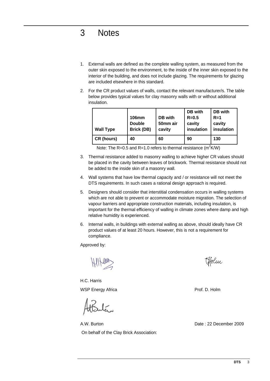**DTS** 3

## 3 Notes

- 1. External walls are defined as the complete walling system, as measured from the outer skin exposed to the environment, to the inside of the inner skin exposed to the interior of the building, and does not include glazing. The requirements for glazing are included elsewhere in this standard.
- 2. For the CR product values of walls, contact the relevant manufacturer/s. The table below provides typical values for clay masonry walls with or without additional insulation.

| <b>Wall Type</b> | <b>106mm</b><br><b>Double</b><br><b>Brick (DB)</b> | DB with<br>50mm air<br>cavity | DB with<br>$R = 0.5$<br>cavity<br>insulation | DB with<br>$R=1$<br>cavity<br>insulation |
|------------------|----------------------------------------------------|-------------------------------|----------------------------------------------|------------------------------------------|
| CR (hours)       | 40                                                 | 60                            | 90                                           | 130                                      |

Note: The R=0.5 and R=1.0 refers to thermal resistance (m<sup>2</sup>K/W)

- 3. Thermal resistance added to masonry walling to achieve higher CR values should be placed in the cavity between leaves of brickwork. Thermal resistance should not be added to the inside skin of a masonry wall.
- 4. Wall systems that have low thermal capacity and / or resistance will not meet the DTS requirements. In such cases a rational design approach is required.
- 5. Designers should consider that interstitial condensation occurs in walling systems which are not able to prevent or accommodate moisture migration. The selection of vapour barriers and appropriate construction materials, including insulation, is important for the thermal efficiency of walling in climate zones where damp and high relative humidity is experienced.
- 6. Internal walls, in buildings with external walling as above, should ideally have CR product values of at least 20 hours. However, this is not a requirement for compliance.

Approved by:

H.C. Harris WSP Energy Africa **Prof. D. Holm** 

A.W. Burton Date : 22 December 2009 On behalf of the Clay Brick Association:

Holm